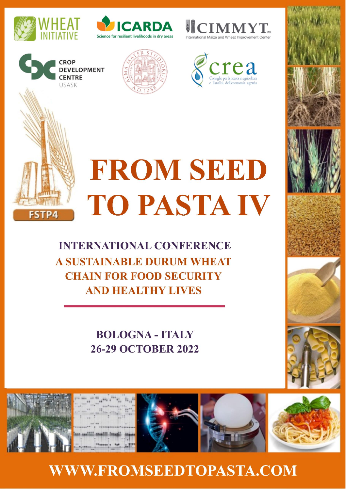

**CROP** 

**CENTRE** USASK

**DEVELOPMENT** 









# **FROM SEED** TO PASTA IV

**INTERNATIONAL CONFERENCE A SUSTAINABLE DURUM WHEAT CHAIN FOR FOOD SECURITY AND HEALTHY LIVES** 

> **BOLOGNA - ITALY 26-29 OCTOBER 2022**



**WWW.FROMSEEDTOPASTA.COM**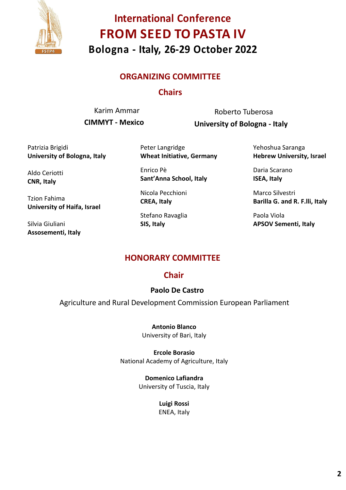

#### **ORGANIZING COMMITTEE**

#### **Chairs**

Karim Ammar **CIMMYT - Mexico**

Roberto Tuberosa **University of Bologna - Italy**

Patrizia Brigidi **University of Bologna, Italy**

Aldo Ceriotti **CNR, Italy**

Tzion Fahima **University of Haifa, Israel**

Silvia Giuliani **Assosementi, Italy**

Peter Langridge **Wheat Initiative, Germany**

Enrico Pè **Sant'Anna School, Italy**

Nicola Pecchioni **CREA, Italy**

Stefano Ravaglia **SIS, Italy**

Yehoshua Saranga **Hebrew University, Israel**

Daria Scarano **ISEA, Italy**

Marco Silvestri **Barilla G. and R. F.lli, Italy**

Paola Viola **APSOV Sementi, Italy**

#### **HONORARY COMMITTEE**

#### **Chair**

#### **Paolo De Castro**

Agriculture and Rural Development Commission European Parliament

#### **Antonio Blanco**

University of Bari, Italy

#### **Ercole Borasio**

National Academy of Agriculture, Italy

#### **Domenico Lafiandra**

University of Tuscia, Italy

**Luigi Rossi** ENEA, Italy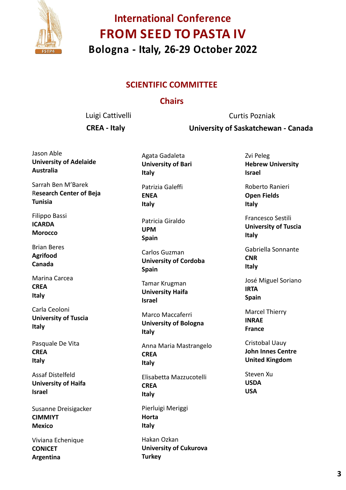

#### **SCIENTIFIC COMMITTEE**

#### **Chairs**

Luigi Cattivelli

**CREA - Italy**

Curtis Pozniak

**University of Saskatchewan - Canada** 

Jason Able **University of Adelaide Australia**

Sarrah Ben M'Barek R**esearch Center of Beja Tunisia**

Filippo Bassi **ICARDA Morocco**

Brian Beres **Agrifood Canada**

Marina Carcea **CREA Italy**

Carla Ceoloni **University of Tuscia Italy**

Pasquale De Vita **CREA Italy**

Assaf Distelfeld **University of Haifa Israel**

Susanne Dreisigacker **CIMMIYT Mexico**

Viviana Echenique **CONICET Argentina**

Agata Gadaleta **University of Bari Italy**

Patrizia Galeffi **ENEA Italy**

Patricia Giraldo **UPM Spain**

Carlos Guzman **University of Cordoba Spain**

Tamar Krugman **University Haifa Israel**

Marco Maccaferri **University of Bologna Italy**

Anna Maria Mastrangelo **CREA Italy**

Elisabetta Mazzucotelli **CREA Italy**

Pierluigi Meriggi **Horta Italy**

Hakan Ozkan **University of Cukurova Turkey**

Zvi Peleg **Hebrew University Israel**

Roberto Ranieri **Open Fields Italy**

Francesco Sestili **University of Tuscia Italy**

Gabriella Sonnante **CNR Italy**

José Miguel Soriano **IRTA Spain**

Marcel Thierry **INRAE France**

Cristobal Uauy **John Innes Centre United Kingdom**

Steven Xu **USDA USA**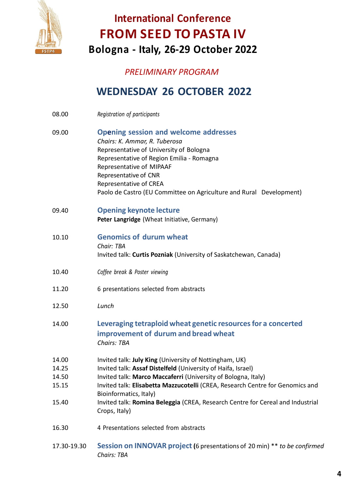

#### *PRELIMINARY PROGRAM*

## **WEDNESDAY 26 OCTOBER 2022**

- 08.00 *Registration of participants*
- 09.00 **Opening session and welcome addresses** *Chairs: K. Ammar, R. Tuberosa* Representative of University of Bologna Representative of Region Emilia - Romagna Representative of MIPAAF Representative of CNR Representative of CREA Paolo de Castro (EU Committee on Agriculture and Rural Development)
- 09.40 **Opening keynote lecture Peter Langridge** (Wheat Initiative, Germany)
- 10.10 **Genomics of durum wheat** *Chair: TBA* Invited talk: **Curtis Pozniak** (University of Saskatchewan, Canada)
- 10.40 *Coffee break & Poster viewing*
- 11.20 6 presentations selected from abstracts
- 12.50 *Lunch*
- 14.00 **Leveraging tetraploid wheat genetic resourcesfor a concerted improvement of durum and bread wheat** *Chairs: TBA*
- 14.00 Invited talk: **July King** (University of Nottingham, UK)
- 14.25 Invited talk: **Assaf Distelfeld** (University of Haifa, Israel)
- 14.50 Invited talk: **Marco Maccaferri** (University of Bologna, Italy)
- 15.15 Invited talk: **Elisabetta Mazzucotelli** (CREA, Research Centre for Genomics and Bioinformatics, Italy)
- 15.40 Invited talk: **Romina Beleggia** (CREA, Research Centre for Cereal and Industrial Crops, Italy)
- 16.30 4 Presentations selected from abstracts
- 17.30-19.30 **Session on INNOVAR project (**6 presentations of 20 min) \*\* *to be confirmed Chairs: TBA*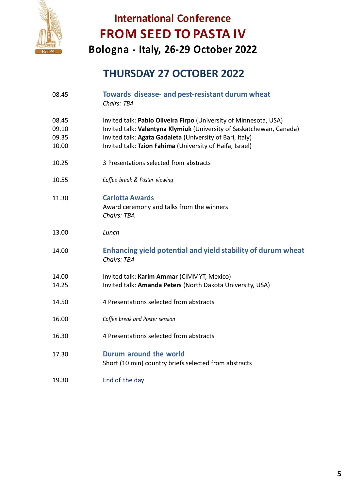

## **THURSDAY 27 OCTOBER 2022**

| 08.45                            | Towards disease- and pest-resistant durum wheat<br>Chairs: TBA                                                                                                                                                                                                    |
|----------------------------------|-------------------------------------------------------------------------------------------------------------------------------------------------------------------------------------------------------------------------------------------------------------------|
| 08.45<br>09.10<br>09.35<br>10.00 | Invited talk: Pablo Oliveira Firpo (University of Minnesota, USA)<br>Invited talk: Valentyna Klymiuk (University of Saskatchewan, Canada)<br>Invited talk: Agata Gadaleta (University of Bari, Italy)<br>Invited talk: Tzion Fahima (University of Haifa, Israel) |
| 10.25                            | 3 Presentations selected from abstracts                                                                                                                                                                                                                           |
| 10.55                            | Coffee break & Poster viewing                                                                                                                                                                                                                                     |
| 11.30                            | <b>Carlotta Awards</b><br>Award ceremony and talks from the winners<br><b>Chairs: TBA</b>                                                                                                                                                                         |
| 13.00                            | Lunch                                                                                                                                                                                                                                                             |
| 14.00                            | Enhancing yield potential and yield stability of durum wheat<br><b>Chairs: TBA</b>                                                                                                                                                                                |
| 14.00<br>14.25                   | Invited talk: Karim Ammar (CIMMYT, Mexico)<br>Invited talk: Amanda Peters (North Dakota University, USA)                                                                                                                                                          |
| 14.50                            | 4 Presentations selected from abstracts                                                                                                                                                                                                                           |
| 16.00                            | Coffee break and Poster session                                                                                                                                                                                                                                   |
| 16.30                            | 4 Presentations selected from abstracts                                                                                                                                                                                                                           |
| 17.30                            | Durum around the world<br>Short (10 min) country briefs selected from abstracts                                                                                                                                                                                   |
| 19.30                            | End of the day                                                                                                                                                                                                                                                    |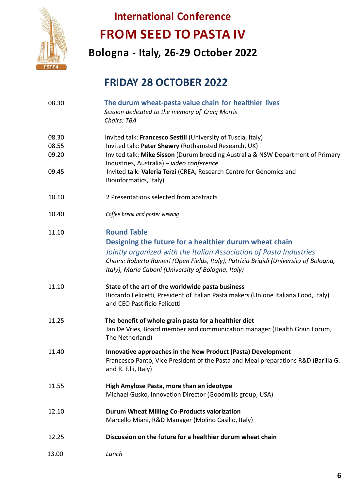

**Bologna - Italy, 26-29 October 2022**

## **FRIDAY 28 OCTOBER 2022**

| 08.30                            | The durum wheat-pasta value chain for healthier lives<br>Session dedicated to the memory of Craig Morris<br>Chairs: TBA                                                                                                                                                                                                                                |
|----------------------------------|--------------------------------------------------------------------------------------------------------------------------------------------------------------------------------------------------------------------------------------------------------------------------------------------------------------------------------------------------------|
| 08.30<br>08.55<br>09.20<br>09.45 | Invited talk: Francesco Sestili (University of Tuscia, Italy)<br>Invited talk: Peter Shewry (Rothamsted Research, UK)<br>Invited talk: Mike Sisson (Durum breeding Australia & NSW Department of Primary<br>Industries, Australia) - video conference<br>Invited talk: Valeria Terzi (CREA, Research Centre for Genomics and<br>Bioinformatics, Italy) |
| 10.10                            | 2 Presentations selected from abstracts                                                                                                                                                                                                                                                                                                                |
| 10.40                            | Coffee break and poster viewing                                                                                                                                                                                                                                                                                                                        |
| 11.10                            | <b>Round Table</b><br>Designing the future for a healthier durum wheat chain<br>Jointly organized with the Italian Association of Pasta Industries<br>Chairs: Roberto Ranieri (Open Fields, Italy), Patrizia Brigidi (University of Bologna,<br>Italy), Maria Caboni (University of Bologna, Italy)                                                    |
| 11.10                            | State of the art of the worldwide pasta business<br>Riccardo Felicetti, President of Italian Pasta makers (Unione Italiana Food, Italy)<br>and CEO Pastificio Felicetti                                                                                                                                                                                |
| 11.25                            | The benefit of whole grain pasta for a healthier diet<br>Jan De Vries, Board member and communication manager (Health Grain Forum,<br>The Netherland)                                                                                                                                                                                                  |
| 11.40                            | Innovative approaches in the New Product (Pasta) Development<br>Francesco Pantò, Vice President of the Pasta and Meal preparations R&D (Barilla G.<br>and R. F.Ili, Italy)                                                                                                                                                                             |
| 11.55                            | High Amylose Pasta, more than an ideotype<br>Michael Gusko, Innovation Director (Goodmills group, USA)                                                                                                                                                                                                                                                 |
| 12.10                            | <b>Durum Wheat Milling Co-Products valorization</b><br>Marcello Miani, R&D Manager (Molino Casillo, Italy)                                                                                                                                                                                                                                             |
| 12.25                            | Discussion on the future for a healthier durum wheat chain                                                                                                                                                                                                                                                                                             |
| 13.00                            | Lunch                                                                                                                                                                                                                                                                                                                                                  |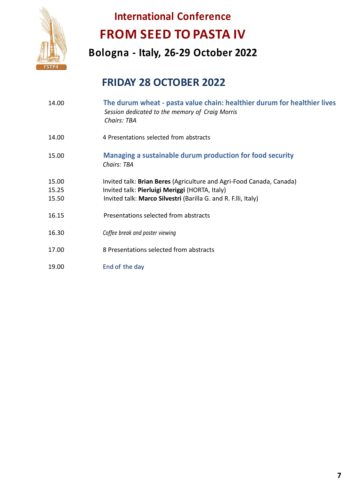

**Bologna - Italy, 26-29 October 2022**

## **FRIDAY 28 OCTOBER 2022**

| 14.00                   | The durum wheat - pasta value chain: healthier durum for healthier lives<br>Session dedicated to the memory of Craig Morris<br><b>Chairs: TBA</b>                                        |
|-------------------------|------------------------------------------------------------------------------------------------------------------------------------------------------------------------------------------|
| 14.00                   | 4 Presentations selected from abstracts                                                                                                                                                  |
| 15.00                   | Managing a sustainable durum production for food security<br>Chairs: TBA                                                                                                                 |
| 15.00<br>15.25<br>15.50 | Invited talk: Brian Beres (Agriculture and Agri-Food Canada, Canada)<br>Invited talk: Pierluigi Meriggi (HORTA, Italy)<br>Invited talk: Marco Silvestri (Barilla G. and R. F.Ili, Italy) |
| 16.15                   | Presentations selected from abstracts                                                                                                                                                    |
| 16.30                   | Coffee break and poster viewing                                                                                                                                                          |
| 17.00                   | 8 Presentations selected from abstracts                                                                                                                                                  |
| 19.00                   | End of the day                                                                                                                                                                           |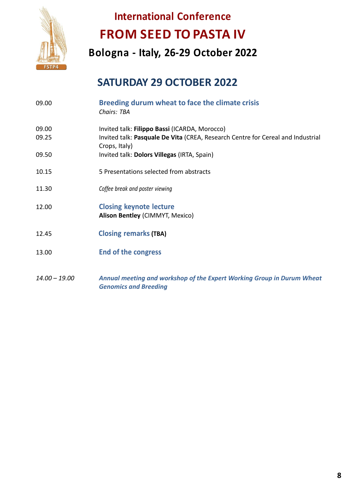

**Bologna - Italy, 26-29 October 2022**

## **SATURDAY 29 OCTOBER 2022**

| 09.00          | Breeding durum wheat to face the climate crisis<br>Chairs: TBA                                                                                    |
|----------------|---------------------------------------------------------------------------------------------------------------------------------------------------|
| 09.00<br>09.25 | Invited talk: Filippo Bassi (ICARDA, Morocco)<br>Invited talk: Pasquale De Vita (CREA, Research Centre for Cereal and Industrial<br>Crops, Italy) |
| 09.50          | Invited talk: Dolors Villegas (IRTA, Spain)                                                                                                       |
| 10.15          | 5 Presentations selected from abstracts                                                                                                           |
| 11.30          | Coffee break and poster viewing                                                                                                                   |
| 12.00          | <b>Closing keynote lecture</b><br>Alison Bentley (CIMMYT, Mexico)                                                                                 |
| 12.45          | <b>Closing remarks (TBA)</b>                                                                                                                      |
| 13.00          | <b>End of the congress</b>                                                                                                                        |
|                |                                                                                                                                                   |

*14.00 – 19.00 Annual meeting and workshop of the Expert Working Group in Durum Wheat Genomics and Breeding*